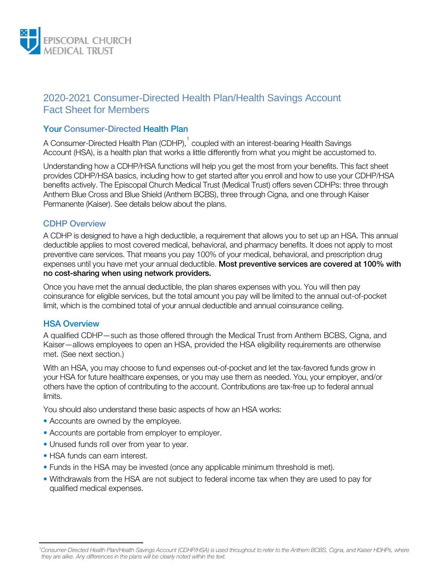

# 2020-2021 Consumer-Directed Health Plan/Health Savings Account Fact Sheet for Members

### Your Consumer-Directed Health Plan

A Consumer-Directed Health Plan (CDHP), $^\dagger$  coupled with an interest-bearing Health Savings Account (HSA), is a health plan that works a little differently from what you might be accustomed to.

Understanding how a CDHP/HSA functions will help you get the most from your benefits. This fact sheet provides CDHP/HSA basics, including how to get started after you enroll and how to use your CDHP/HSA benefits actively. The Episcopal Church Medical Trust (Medical Trust) offers seven CDHPs: three through Anthem Blue Cross and Blue Shield (Anthem BCBS), three through Cigna, and one through Kaiser Permanente (Kaiser). See details below about the plans.

#### CDHP Overview

A CDHP is designed to have a high deductible, a requirement that allows you to set up an HSA. This annual deductible applies to most covered medical, behavioral, and pharmacy benefits. It does not apply to most preventive care services. That means you pay 100% of your medical, behavioral, and prescription drug expenses until you have met your annual deductible. Most preventive services are covered at 100% with no cost-sharing when using network providers.

Once you have met the annual deductible, the plan shares expenses with you. You will then pay coinsurance for eligible services, but the total amount you pay will be limited to the annual out-of-pocket limit, which is the combined total of your annual deductible and annual coinsurance ceiling.

### HSA Overview

A qualified CDHP—such as those offered through the Medical Trust from Anthem BCBS, Cigna, and Kaiser—allows employees to open an HSA, provided the HSA eligibility requirements are otherwise met. (See next section.)

With an HSA, you may choose to fund expenses out-of-pocket and let the tax-favored funds grow in your HSA for future healthcare expenses, or you may use them as needed. You, your employer, and/or others have the option of contributing to the account. Contributions are tax-free up to federal annual limits.

You should also understand these basic aspects of how an HSA works:

- Accounts are owned by the employee.
- Accounts are portable from employer to employer.
- Unused funds roll over from year to year.
- HSA funds can earn interest.

l

- Funds in the HSA may be invested (once any applicable minimum threshold is met).
- Withdrawals from the HSA are not subject to federal income tax when they are used to pay for qualified medical expenses.

<span id="page-0-0"></span>*<sup>1</sup> Consumer-Directed Health Plan/Health Savings Account (CDHP/HSA) is used throughout to refer to the Anthem BCBS, Cigna, and Kaiser HDHPs, where they are alike. Any differences in the plans will be clearly noted within the text.*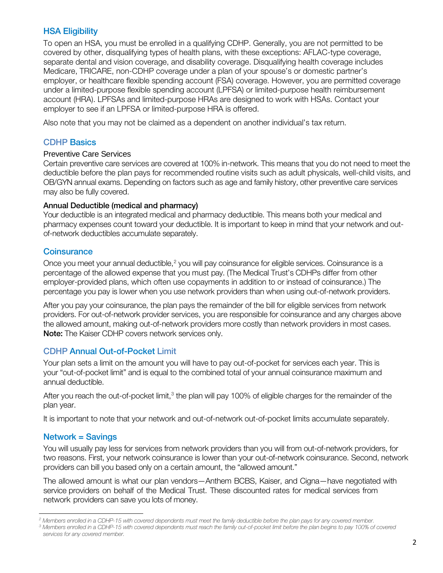### HSA Eligibility

To open an HSA, you must be enrolled in a qualifying CDHP. Generally, you are not permitted to be covered by other, disqualifying types of health plans, with these exceptions: AFLAC-type coverage, separate dental and vision coverage, and disability coverage. Disqualifying health coverage includes Medicare, TRICARE, non-CDHP coverage under a plan of your spouse's or domestic partner's employer, or healthcare flexible spending account (FSA) coverage. However, you are permitted coverage under a limited-purpose flexible spending account (LPFSA) or limited-purpose health reimbursement account (HRA). LPFSAs and limited-purpose HRAs are designed to work with HSAs. Contact your employer to see if an LPFSA or limited-purpose HRA is offered.

Also note that you may not be claimed as a dependent on another individual's tax return.

### CDHP Basics

#### Preventive Care Services

Certain preventive care services are covered at 100% in-network. This means that you do not need to meet the deductible before the plan pays for recommended routine visits such as adult physicals, well-child visits, and OB/GYN annual exams. Depending on factors such as age and family history, other preventive care services may also be fully covered.

### Annual Deductible (medical and pharmacy)

Your deductible is an integrated medical and pharmacy deductible. This means both your medical and pharmacy expenses count toward your deductible. It is important to keep in mind that your network and outof-network deductibles accumulate separately.

### **Coinsurance**

Once you meet your annual deductible,<sup>[2](#page-1-0)</sup> you will pay coinsurance for eligible services. Coinsurance is a percentage of the allowed expense that you must pay. (The Medical Trust's CDHPs differ from other employer-provided plans, which often use copayments in addition to or instead of coinsurance.) The percentage you pay is lower when you use network providers than when using out-of-network providers.

After you pay your coinsurance, the plan pays the remainder of the bill for eligible services from network providers. For out-of-network provider services, you are responsible for coinsurance and any charges above the allowed amount, making out-of-network providers more costly than network providers in most cases. Note: The Kaiser CDHP covers network services only.

## CDHP Annual Out-of-Pocket Limit

Your plan sets a limit on the amount you will have to pay out-of-pocket for services each year. This is your "out-of-pocket limit" and is equal to the combined total of your annual coinsurance maximum and annual deductible.

After you reach the out-of-pocket limit,<sup>[3](#page-1-1)</sup> the plan will pay 100% of eligible charges for the remainder of the plan year.

It is important to note that your network and out-of-network out-of-pocket limits accumulate separately.

## Network = Savings

l

You will usually pay less for services from network providers than you will from out-of-network providers, for two reasons. First, your network coinsurance is lower than your out-of-network coinsurance. Second, network providers can bill you based only on a certain amount, the "allowed amount."

The allowed amount is what our plan vendors—Anthem BCBS, Kaiser, and Cigna—have negotiated with service providers on behalf of the Medical Trust. These discounted rates for medical services from network providers can save you lots of money.

<span id="page-1-0"></span>*<sup>2</sup> Members enrolled in a CDHP-15 with covered dependents must meet the family deductible before the plan pays for any covered member.*

<span id="page-1-1"></span><sup>&</sup>lt;sup>3</sup> Members enrolled in a CDHP-15 with covered dependents must reach the family out-of-pocket limit before the plan begins to pay 100% of covered *services for any covered member.*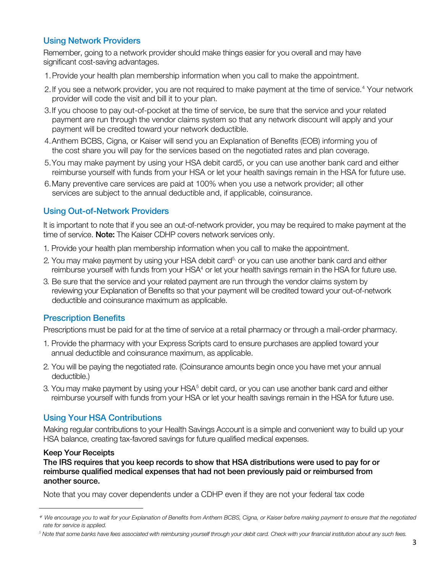### Using Network Providers

Remember, going to a network provider should make things easier for you overall and may have significant cost-saving advantages.

- 1.Provide your health plan membership information when you call to make the appointment.
- 2. If you see a network provider, you are not required to make payment at the time of service.<sup>[4](#page-2-1)</sup> Your network provider will code the visit and bill it to your plan.
- 3.If you choose to pay out-of-pocket at the time of service, be sure that the service and your related payment are run through the vendor claims system so that any network discount will apply and your payment will be credited toward your network deductible.
- 4.Anthem BCBS, Cigna, or Kaiser will send you an Explanation of Benefits (EOB) informing you of the cost share you will pay for the services based on the negotiated rates and plan coverage.
- <span id="page-2-0"></span>5.You may make payment by using your HSA debit car[d5,](#page-2-0) or you can use another bank card and either reimburse yourself with funds from your HSA or let your health savings remain in the HSA for future use.
- 6.Many preventive care services are paid at 100% when you use a network provider; all other services are subject to the annual deductible and, if applicable, coinsurance.

### Using Out-of-Network Providers

It is important to note that if you see an out-of-network provider, you may be required to make payment at the time of service. Note: The Kaiser CDHP covers network services only.

- 1. Provide your health plan membership information when you call to make the appointment.
- 2. You may make payment by using your HSA debit card<sup>5,</sup> or you can use another bank card and either reimburse yourself with funds from your HSA<sup>4</sup> or let your health savings remain in the HSA for future use.
- 3. Be sure that the service and your related payment are run through the vendor claims system by reviewing your Explanation of Benefits so that your payment will be credited toward your out-of-network deductible and coinsurance maximum as applicable.

## Prescription Benefits

Prescriptions must be paid for at the time of service at a retail pharmacy or through a mail-order pharmacy.

- 1. Provide the pharmacy with your Express Scripts card to ensure purchases are applied toward your annual deductible and coinsurance maximum, as applicable.
- 2. You will be paying the negotiated rate. (Coinsurance amounts begin once you have met your annual deductible.)
- 3. You may make payment by using your  $HSA<sup>5</sup>$  $HSA<sup>5</sup>$  $HSA<sup>5</sup>$  debit card, or you can use another bank card and either reimburse yourself with funds from your HSA or let your health savings remain in the HSA for future use.

### Using Your HSA Contributions

Making regular contributions to your Health Savings Account is a simple and convenient way to build up your HSA balance, creating tax-favored savings for future qualified medical expenses.

#### Keep Your Receipts

 $\overline{a}$ 

The IRS requires that you keep records to show that HSA distributions were used to pay for or reimburse qualified medical expenses that had not been previously paid or reimbursed from another source.

Note that you may cover dependents under a CDHP even if they are not your federal tax code

<span id="page-2-1"></span>*<sup>4</sup> We encourage you to wait for your Explanation of Benefits from Anthem BCBS, Cigna, or Kaiser before making payment to ensure that the negotiated rate for service is applied.*

<span id="page-2-2"></span><sup>&</sup>lt;sup>5</sup> Note that some banks have fees associated with reimbursing yourself through your debit card. Check with your financial institution about any such fees.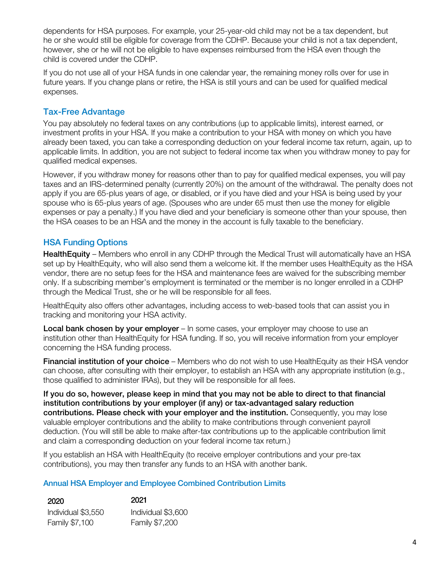dependents for HSA purposes. For example, your 25-year-old child may not be a tax dependent, but he or she would still be eligible for coverage from the CDHP. Because your child is not a tax dependent, however, she or he will not be eligible to have expenses reimbursed from the HSA even though the child is covered under the CDHP.

If you do not use all of your HSA funds in one calendar year, the remaining money rolls over for use in future years. If you change plans or retire, the HSA is still yours and can be used for qualified medical expenses.

## Tax-Free Advantage

You pay absolutely no federal taxes on any contributions (up to applicable limits), interest earned, or investment profits in your HSA. If you make a contribution to your HSA with money on which you have already been taxed, you can take a corresponding deduction on your federal income tax return, again, up to applicable limits. In addition, you are not subject to federal income tax when you withdraw money to pay for qualified medical expenses.

However, if you withdraw money for reasons other than to pay for qualified medical expenses, you will pay taxes and an IRS-determined penalty (currently 20%) on the amount of the withdrawal. The penalty does not apply if you are 65-plus years of age, or disabled, or if you have died and your HSA is being used by your spouse who is 65-plus years of age. (Spouses who are under 65 must then use the money for eligible expenses or pay a penalty.) If you have died and your beneficiary is someone other than your spouse, then the HSA ceases to be an HSA and the money in the account is fully taxable to the beneficiary.

## HSA Funding Options

HealthEquity – Members who enroll in any CDHP through the Medical Trust will automatically have an HSA set up by HealthEquity, who will also send them a welcome kit. If the member uses HealthEquity as the HSA vendor, there are no setup fees for the HSA and maintenance fees are waived for the subscribing member only. If a subscribing member's employment is terminated or the member is no longer enrolled in a CDHP through the Medical Trust, she or he will be responsible for all fees.

HealthEquity also offers other advantages, including access to web-based tools that can assist you in tracking and monitoring your HSA activity.

Local bank chosen by your employer – In some cases, your employer may choose to use an institution other than HealthEquity for HSA funding. If so, you will receive information from your employer concerning the HSA funding process.

Financial institution of your choice – Members who do not wish to use HealthEquity as their HSA vendor can choose, after consulting with their employer, to establish an HSA with any appropriate institution (e.g., those qualified to administer IRAs), but they will be responsible for all fees.

If you do so, however, please keep in mind that you may not be able to direct to that financial institution contributions by your employer (if any) or tax-advantaged salary reduction contributions. Please check with your employer and the institution. Consequently, you may lose valuable employer contributions and the ability to make contributions through convenient payroll deduction. (You will still be able to make after-tax contributions up to the applicable contribution limit and claim a corresponding deduction on your federal income tax return.)

If you establish an HSA with HealthEquity (to receive employer contributions and your pre-tax contributions), you may then transfer any funds to an HSA with another bank.

### Annual HSA Employer and Employee Combined Contribution Limits

| 2020               | 2021               |
|--------------------|--------------------|
| Individual \$3,550 | Individual \$3,600 |
| Family \$7,100     | Family \$7,200     |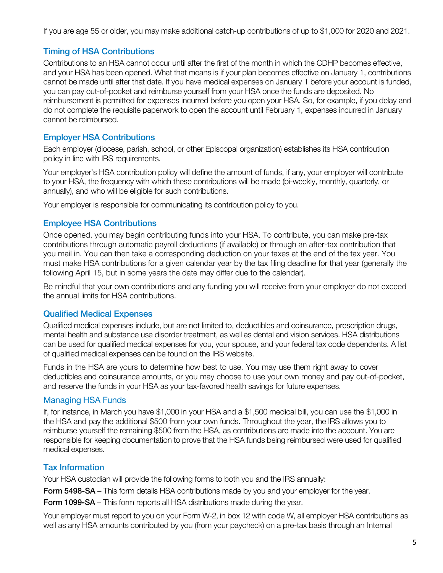If you are age 55 or older, you may make additional catch-up contributions of up to \$1,000 for 2020 and 2021.

## Timing of HSA Contributions

Contributions to an HSA cannot occur until after the first of the month in which the CDHP becomes effective, and your HSA has been opened. What that means is if your plan becomes effective on January 1, contributions cannot be made until after that date. If you have medical expenses on January 1 before your account is funded, you can pay out-of-pocket and reimburse yourself from your HSA once the funds are deposited. No reimbursement is permitted for expenses incurred before you open your HSA. So, for example, if you delay and do not complete the requisite paperwork to open the account until February 1, expenses incurred in January cannot be reimbursed.

## Employer HSA Contributions

Each employer (diocese, parish, school, or other Episcopal organization) establishes its HSA contribution policy in line with IRS requirements.

Your employer's HSA contribution policy will define the amount of funds, if any, your employer will contribute to your HSA, the frequency with which these contributions will be made (bi-weekly, monthly, quarterly, or annually), and who will be eligible for such contributions.

Your employer is responsible for communicating its contribution policy to you.

## Employee HSA Contributions

Once opened, you may begin contributing funds into your HSA. To contribute, you can make pre-tax contributions through automatic payroll deductions (if available) or through an after-tax contribution that you mail in. You can then take a corresponding deduction on your taxes at the end of the tax year. You must make HSA contributions for a given calendar year by the tax filing deadline for that year (generally the following April 15, but in some years the date may differ due to the calendar).

Be mindful that your own contributions and any funding you will receive from your employer do not exceed the annual limits for HSA contributions.

## Qualified Medical Expenses

Qualified medical expenses include, but are not limited to, deductibles and coinsurance, prescription drugs, mental health and substance use disorder treatment, as well as dental and vision services. HSA distributions can be used for qualified medical expenses for you, your spouse, and your federal tax code dependents. A list of qualified medical expenses can be found on the IRS website.

Funds in the HSA are yours to determine how best to use. You may use them right away to cover deductibles and coinsurance amounts, or you may choose to use your own money and pay out-of-pocket, and reserve the funds in your HSA as your tax-favored health savings for future expenses.

## Managing HSA Funds

If, for instance, in March you have \$1,000 in your HSA and a \$1,500 medical bill, you can use the \$1,000 in the HSA and pay the additional \$500 from your own funds. Throughout the year, the IRS allows you to reimburse yourself the remaining \$500 from the HSA, as contributions are made into the account. You are responsible for keeping documentation to prove that the HSA funds being reimbursed were used for qualified medical expenses.

## Tax Information

Your HSA custodian will provide the following forms to both you and the IRS annually:

Form 5498-SA – This form details HSA contributions made by you and your employer for the year.

Form 1099-SA – This form reports all HSA distributions made during the year.

Your employer must report to you on your Form W-2, in box 12 with code W, all employer HSA contributions as well as any HSA amounts contributed by you (from your paycheck) on a pre-tax basis through an Internal